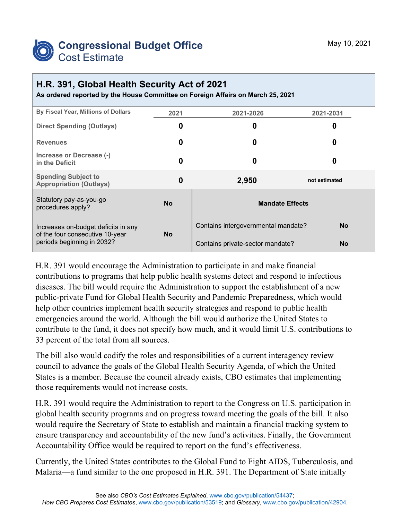

## **H.R. 391, Global Health Security Act of 2021**

**As ordered reported by the House Committee on Foreign Affairs on March 25, 2021**

| By Fiscal Year, Millions of Dollars                                                                  | 2021      | 2021-2026                           | 2021-2031     |  |
|------------------------------------------------------------------------------------------------------|-----------|-------------------------------------|---------------|--|
| <b>Direct Spending (Outlays)</b>                                                                     | 0         | 0                                   | O             |  |
| <b>Revenues</b>                                                                                      | 0         | 0                                   | 0             |  |
| Increase or Decrease (-)<br>in the Deficit                                                           | 0         | 0                                   | O             |  |
| <b>Spending Subject to</b><br><b>Appropriation (Outlays)</b>                                         | 0         | 2,950                               | not estimated |  |
| Statutory pay-as-you-go<br>procedures apply?                                                         | <b>No</b> | <b>Mandate Effects</b>              |               |  |
| Increases on-budget deficits in any<br>of the four consecutive 10-year<br>periods beginning in 2032? | <b>No</b> | Contains intergovernmental mandate? | No.           |  |
|                                                                                                      |           | Contains private-sector mandate?    | No            |  |

H.R. 391 would encourage the Administration to participate in and make financial contributions to programs that help public health systems detect and respond to infectious diseases. The bill would require the Administration to support the establishment of a new public-private Fund for Global Health Security and Pandemic Preparedness, which would help other countries implement health security strategies and respond to public health emergencies around the world. Although the bill would authorize the United States to contribute to the fund, it does not specify how much, and it would limit U.S. contributions to 33 percent of the total from all sources.

The bill also would codify the roles and responsibilities of a current interagency review council to advance the goals of the Global Health Security Agenda, of which the United States is a member. Because the council already exists, CBO estimates that implementing those requirements would not increase costs.

H.R. 391 would require the Administration to report to the Congress on U.S. participation in global health security programs and on progress toward meeting the goals of the bill. It also would require the Secretary of State to establish and maintain a financial tracking system to ensure transparency and accountability of the new fund's activities. Finally, the Government Accountability Office would be required to report on the fund's effectiveness.

Currently, the United States contributes to the Global Fund to Fight AIDS, Tuberculosis, and Malaria—a fund similar to the one proposed in H.R. 391. The Department of State initially